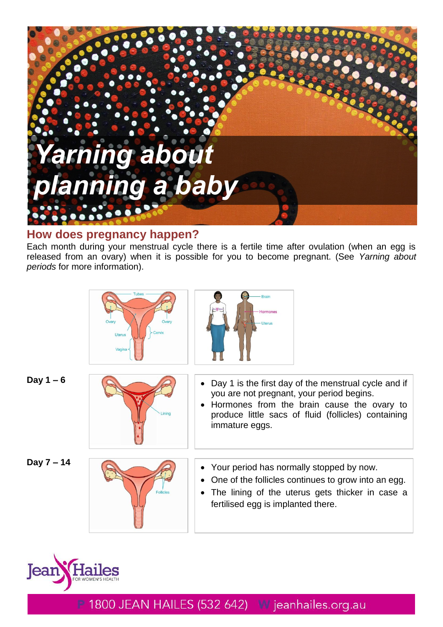

# **How does pregnancy happen?**

Each month during your menstrual cycle there is a fertile time after ovulation (when an egg is released from an ovary) when it is possible for you to become pregnant. (See *Yarning about periods* for more information).

|              | <b>Tubes</b><br>Ovary<br>Ovan<br><b>Uterus</b><br>Vagina | <b>Brain</b><br>Hormones<br><b>Uterus</b>                                                                                                                                                                                |
|--------------|----------------------------------------------------------|--------------------------------------------------------------------------------------------------------------------------------------------------------------------------------------------------------------------------|
| Day $1 - 6$  | Linina                                                   | Day 1 is the first day of the menstrual cycle and if<br>you are not pregnant, your period begins.<br>Hormones from the brain cause the ovary to<br>produce little sacs of fluid (follicles) containing<br>immature eggs. |
| Day $7 - 14$ | <b>Follicles</b>                                         | • Your period has normally stopped by now.<br>One of the follicles continues to grow into an egg.<br>The lining of the uterus gets thicker in case a<br>fertilised egg is implanted there.                               |

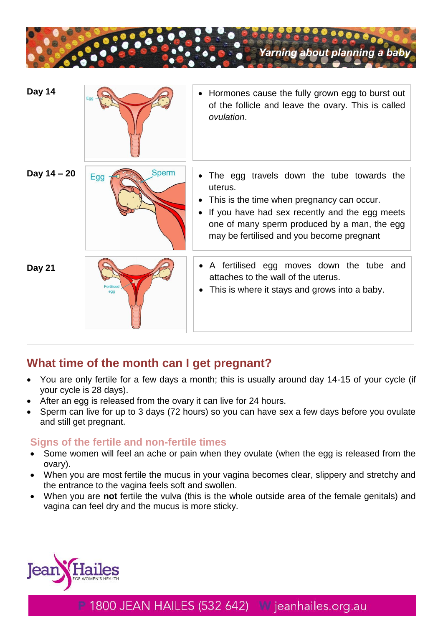

| Day 14        |                     | • Hormones cause the fully grown egg to burst out<br>of the follicle and leave the ovary. This is called<br>ovulation.                                                                                                                            |
|---------------|---------------------|---------------------------------------------------------------------------------------------------------------------------------------------------------------------------------------------------------------------------------------------------|
| Day $14 - 20$ | <b>Sperm</b><br>Egg | The egg travels down the tube towards the<br>uterus.<br>This is the time when pregnancy can occur.<br>If you have had sex recently and the egg meets<br>one of many sperm produced by a man, the egg<br>may be fertilised and you become pregnant |
| Day 21        | Fertiliser<br>egg   | A fertilised egg moves down the tube and<br>attaches to the wall of the uterus.<br>This is where it stays and grows into a baby.                                                                                                                  |

# **What time of the month can I get pregnant?**

- You are only fertile for a few days a month; this is usually around day 14-15 of your cycle (if your cycle is 28 days).
- After an egg is released from the ovary it can live for 24 hours.
- Sperm can live for up to 3 days (72 hours) so you can have sex a few days before you ovulate and still get pregnant.

# **Signs of the fertile and non-fertile times**

- Some women will feel an ache or pain when they ovulate (when the egg is released from the ovary).
- When you are most fertile the mucus in your vagina becomes clear, slippery and stretchy and the entrance to the vagina feels soft and swollen.
- When you are **not** fertile the vulva (this is the whole outside area of the female genitals) and vagina can feel dry and the mucus is more sticky.

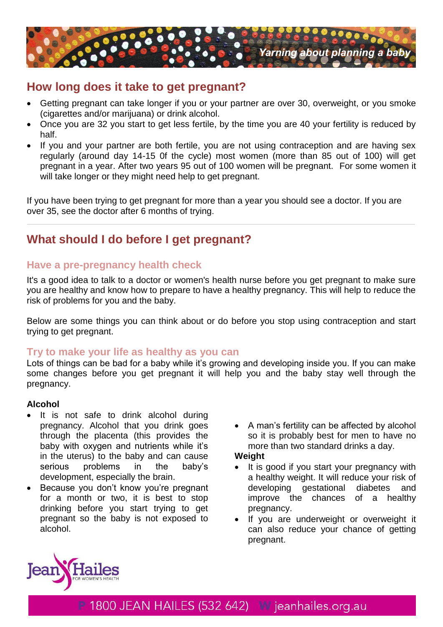

# **How long does it take to get pregnant?**

- Getting pregnant can take longer if you or your partner are over 30, overweight, or you smoke (cigarettes and/or marijuana) or drink alcohol.
- Once you are 32 you start to get less fertile, by the time you are 40 your fertility is reduced by half.
- If you and your partner are both fertile, you are not using contraception and are having sex regularly (around day 14-15 0f the cycle) most women (more than 85 out of 100) will get pregnant in a year. After two years 95 out of 100 women will be pregnant. For some women it will take longer or they might need help to get pregnant.

If you have been trying to get pregnant for more than a year you should see a doctor. If you are over 35, see the doctor after 6 months of trying.

# **What should I do before I get pregnant?**

# **Have a pre-pregnancy health check**

It's a good idea to talk to a doctor or women's health nurse before you get pregnant to make sure you are healthy and know how to prepare to have a healthy pregnancy. This will help to reduce the risk of problems for you and the baby.

Below are some things you can think about or do before you stop using contraception and start trying to get pregnant.

# **Try to make your life as healthy as you can**

Lots of things can be bad for a baby while it's growing and developing inside you. If you can make some changes before you get pregnant it will help you and the baby stay well through the pregnancy.

## **Alcohol**

- It is not safe to drink alcohol during pregnancy. Alcohol that you drink goes through the placenta (this provides the baby with oxygen and nutrients while it's in the uterus) to the baby and can cause serious problems in the baby's development, especially the brain.
- Because you don't know you're pregnant for a month or two, it is best to stop drinking before you start trying to get pregnant so the baby is not exposed to alcohol.
- A man's fertility can be affected by alcohol so it is probably best for men to have no more than two standard drinks a day.

## **Weight**

- It is good if you start your pregnancy with a healthy weight. It will reduce your risk of developing gestational diabetes and improve the chances of a healthy pregnancy.
- If you are underweight or overweight it can also reduce your chance of getting pregnant.